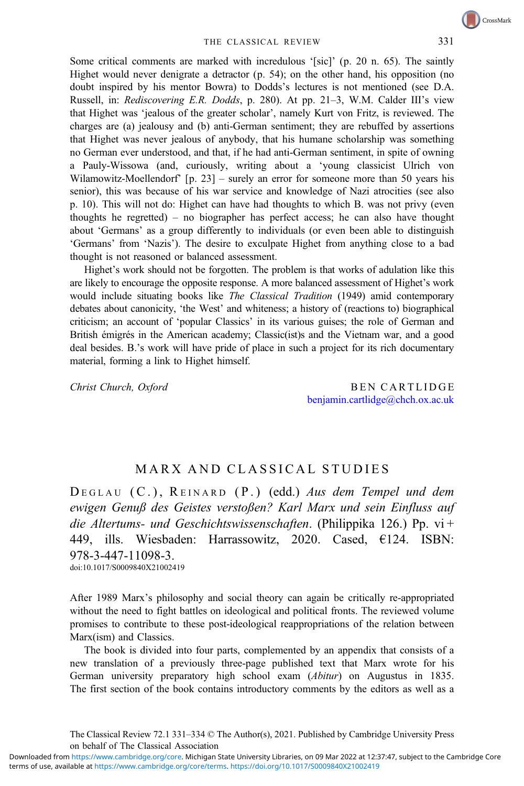CrossMark

Some critical comments are marked with incredulous '[sic]' (p. 20 n. 65). The saintly Highet would never denigrate a detractor (p. 54); on the other hand, his opposition (no doubt inspired by his mentor Bowra) to Dodds's lectures is not mentioned (see D.A. Russell, in: Rediscovering E.R. Dodds, p. 280). At pp. 21-3, W.M. Calder III's view that Highet was 'jealous of the greater scholar', namely Kurt von Fritz, is reviewed. The charges are (a) jealousy and (b) anti-German sentiment; they are rebuffed by assertions that Highet was never jealous of anybody, that his humane scholarship was something no German ever understood, and that, if he had anti-German sentiment, in spite of owning a Pauly-Wissowa (and, curiously, writing about a 'young classicist Ulrich von Wilamowitz-Moellendorf' [p. 23] – surely an error for someone more than 50 years his senior), this was because of his war service and knowledge of Nazi atrocities (see also p. 10). This will not do: Highet can have had thoughts to which B. was not privy (even thoughts he regretted) – no biographer has perfect access; he can also have thought about 'Germans' as a group differently to individuals (or even been able to distinguish 'Germans' from 'Nazis'). The desire to exculpate Highet from anything close to a bad thought is not reasoned or balanced assessment.

Highet's work should not be forgotten. The problem is that works of adulation like this are likely to encourage the opposite response. A more balanced assessment of Highet's work would include situating books like The Classical Tradition (1949) amid contemporary debates about canonicity, 'the West' and whiteness; a history of (reactions to) biographical criticism; an account of 'popular Classics' in its various guises; the role of German and British émigrés in the American academy; Classic(ist)s and the Vietnam war, and a good deal besides. B.'s work will have pride of place in such a project for its rich documentary material, forming a link to Highet himself.

Christ Church, Oxford BEN CARTLIDGE benjamin.cartlidge@chch.ox.ac.uk

## MARX AND CLASSICAL STUDIES

DEGLAU (C.), REINARD (P.) (edd.) Aus dem Tempel und dem ewigen Genuß des Geistes verstoßen? Karl Marx und sein Einfluss auf die Altertums- und Geschichtswissenschaften. (Philippika 126.) Pp. vi+ 449, ills. Wiesbaden: Harrassowitz, 2020. Cased, €124. ISBN: 978-3-447-11098-3.

doi:10.1017/S0009840X21002419

After 1989 Marx's philosophy and social theory can again be critically re-appropriated without the need to fight battles on ideological and political fronts. The reviewed volume promises to contribute to these post-ideological reappropriations of the relation between Marx(ism) and Classics.

The book is divided into four parts, complemented by an appendix that consists of a new translation of a previously three-page published text that Marx wrote for his German university preparatory high school exam (Abitur) on Augustus in 1835. The first section of the book contains introductory comments by the editors as well as a

The Classical Review 72.1 331–334 © The Author(s), 2021. Published by Cambridge University Press on behalf of The Classical Association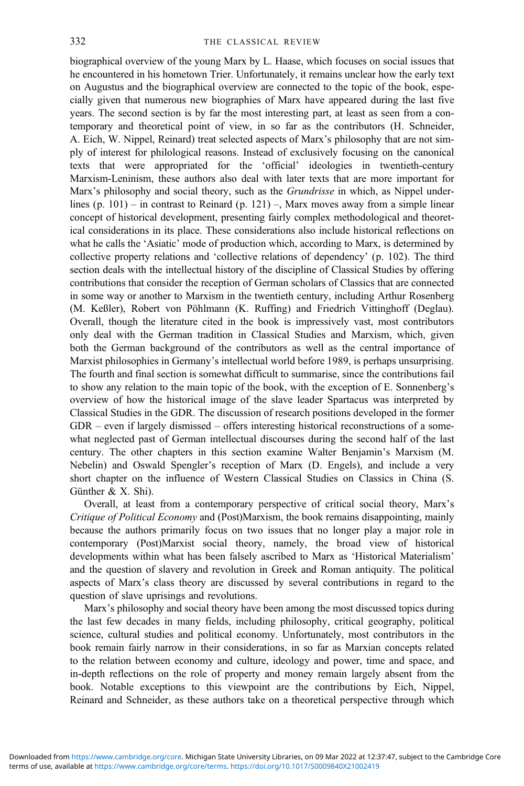biographical overview of the young Marx by L. Haase, which focuses on social issues that he encountered in his hometown Trier. Unfortunately, it remains unclear how the early text on Augustus and the biographical overview are connected to the topic of the book, especially given that numerous new biographies of Marx have appeared during the last five years. The second section is by far the most interesting part, at least as seen from a contemporary and theoretical point of view, in so far as the contributors (H. Schneider, A. Eich, W. Nippel, Reinard) treat selected aspects of Marx's philosophy that are not simply of interest for philological reasons. Instead of exclusively focusing on the canonical texts that were appropriated for the 'official' ideologies in twentieth-century Marxism-Leninism, these authors also deal with later texts that are more important for Marx's philosophy and social theory, such as the *Grundrisse* in which, as Nippel underlines (p. 101) – in contrast to Reinard (p. 121) –, Marx moves away from a simple linear concept of historical development, presenting fairly complex methodological and theoretical considerations in its place. These considerations also include historical reflections on what he calls the 'Asiatic' mode of production which, according to Marx, is determined by collective property relations and 'collective relations of dependency' (p. 102). The third section deals with the intellectual history of the discipline of Classical Studies by offering contributions that consider the reception of German scholars of Classics that are connected in some way or another to Marxism in the twentieth century, including Arthur Rosenberg (M. Keßler), Robert von Pöhlmann (K. Ruffing) and Friedrich Vittinghoff (Deglau). Overall, though the literature cited in the book is impressively vast, most contributors only deal with the German tradition in Classical Studies and Marxism, which, given both the German background of the contributors as well as the central importance of Marxist philosophies in Germany's intellectual world before 1989, is perhaps unsurprising. The fourth and final section is somewhat difficult to summarise, since the contributions fail to show any relation to the main topic of the book, with the exception of E. Sonnenberg's overview of how the historical image of the slave leader Spartacus was interpreted by Classical Studies in the GDR. The discussion of research positions developed in the former GDR – even if largely dismissed – offers interesting historical reconstructions of a somewhat neglected past of German intellectual discourses during the second half of the last century. The other chapters in this section examine Walter Benjamin's Marxism (M. Nebelin) and Oswald Spengler's reception of Marx (D. Engels), and include a very short chapter on the influence of Western Classical Studies on Classics in China (S. Günther & X. Shi).

Overall, at least from a contemporary perspective of critical social theory, Marx's Critique of Political Economy and (Post)Marxism, the book remains disappointing, mainly because the authors primarily focus on two issues that no longer play a major role in contemporary (Post)Marxist social theory, namely, the broad view of historical developments within what has been falsely ascribed to Marx as 'Historical Materialism' and the question of slavery and revolution in Greek and Roman antiquity. The political aspects of Marx's class theory are discussed by several contributions in regard to the question of slave uprisings and revolutions.

Marx's philosophy and social theory have been among the most discussed topics during the last few decades in many fields, including philosophy, critical geography, political science, cultural studies and political economy. Unfortunately, most contributors in the book remain fairly narrow in their considerations, in so far as Marxian concepts related to the relation between economy and culture, ideology and power, time and space, and in-depth reflections on the role of property and money remain largely absent from the book. Notable exceptions to this viewpoint are the contributions by Eich, Nippel, Reinard and Schneider, as these authors take on a theoretical perspective through which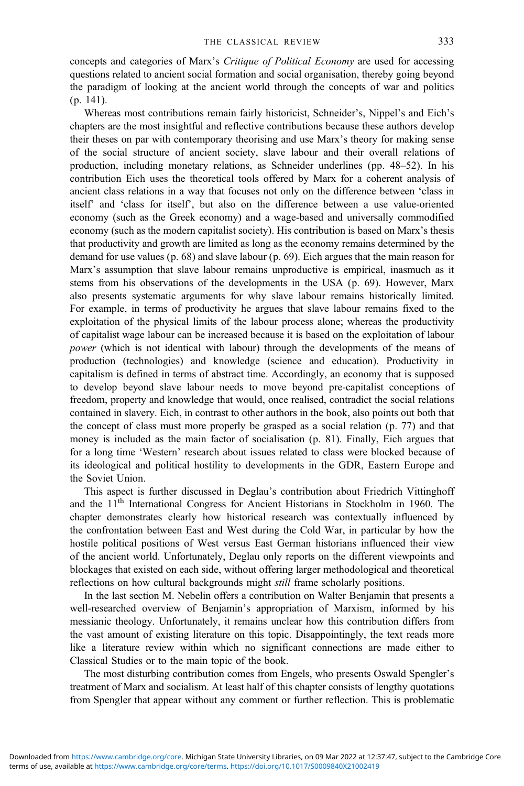concepts and categories of Marx's Critique of Political Economy are used for accessing questions related to ancient social formation and social organisation, thereby going beyond the paradigm of looking at the ancient world through the concepts of war and politics (p. 141).

Whereas most contributions remain fairly historicist, Schneider's, Nippel's and Eich's chapters are the most insightful and reflective contributions because these authors develop their theses on par with contemporary theorising and use Marx's theory for making sense of the social structure of ancient society, slave labour and their overall relations of production, including monetary relations, as Schneider underlines (pp. 48–52). In his contribution Eich uses the theoretical tools offered by Marx for a coherent analysis of ancient class relations in a way that focuses not only on the difference between 'class in itself' and 'class for itself', but also on the difference between a use value-oriented economy (such as the Greek economy) and a wage-based and universally commodified economy (such as the modern capitalist society). His contribution is based on Marx's thesis that productivity and growth are limited as long as the economy remains determined by the demand for use values (p. 68) and slave labour (p. 69). Eich argues that the main reason for Marx's assumption that slave labour remains unproductive is empirical, inasmuch as it stems from his observations of the developments in the USA (p. 69). However, Marx also presents systematic arguments for why slave labour remains historically limited. For example, in terms of productivity he argues that slave labour remains fixed to the exploitation of the physical limits of the labour process alone; whereas the productivity of capitalist wage labour can be increased because it is based on the exploitation of labour power (which is not identical with labour) through the developments of the means of production (technologies) and knowledge (science and education). Productivity in capitalism is defined in terms of abstract time. Accordingly, an economy that is supposed to develop beyond slave labour needs to move beyond pre-capitalist conceptions of freedom, property and knowledge that would, once realised, contradict the social relations contained in slavery. Eich, in contrast to other authors in the book, also points out both that the concept of class must more properly be grasped as a social relation (p. 77) and that money is included as the main factor of socialisation (p. 81). Finally, Eich argues that for a long time 'Western' research about issues related to class were blocked because of its ideological and political hostility to developments in the GDR, Eastern Europe and the Soviet Union.

This aspect is further discussed in Deglau's contribution about Friedrich Vittinghoff and the 11<sup>th</sup> International Congress for Ancient Historians in Stockholm in 1960. The chapter demonstrates clearly how historical research was contextually influenced by the confrontation between East and West during the Cold War, in particular by how the hostile political positions of West versus East German historians influenced their view of the ancient world. Unfortunately, Deglau only reports on the different viewpoints and blockages that existed on each side, without offering larger methodological and theoretical reflections on how cultural backgrounds might *still* frame scholarly positions.

In the last section M. Nebelin offers a contribution on Walter Benjamin that presents a well-researched overview of Benjamin's appropriation of Marxism, informed by his messianic theology. Unfortunately, it remains unclear how this contribution differs from the vast amount of existing literature on this topic. Disappointingly, the text reads more like a literature review within which no significant connections are made either to Classical Studies or to the main topic of the book.

The most disturbing contribution comes from Engels, who presents Oswald Spengler's treatment of Marx and socialism. At least half of this chapter consists of lengthy quotations from Spengler that appear without any comment or further reflection. This is problematic